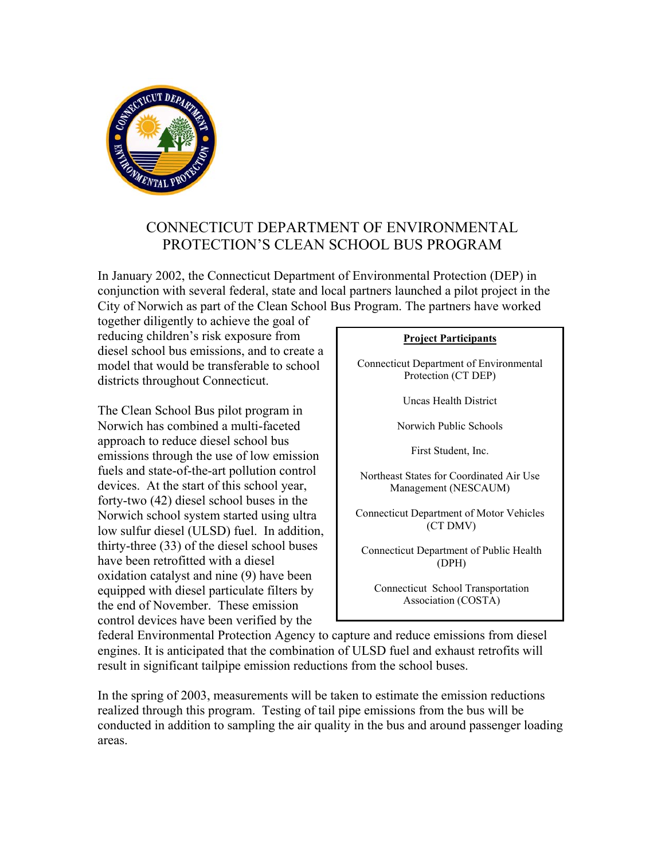

## CONNECTICUT DEPARTMENT OF ENVIRONMENTAL PROTECTION'S CLEAN SCHOOL BUS PROGRAM

In January 2002, the Connecticut Department of Environmental Protection (DEP) in conjunction with several federal, state and local partners launched a pilot project in the City of Norwich as part of the Clean School Bus Program. The partners have worked

together diligently to achieve the goal of reducing children's risk exposure from diesel school bus emissions, and to create a model that would be transferable to school districts throughout Connecticut.

The Clean School Bus pilot program in Norwich has combined a multi-faceted approach to reduce diesel school bus emissions through the use of low emission fuels and state-of-the-art pollution control devices. At the start of this school year, forty-two (42) diesel school buses in the Norwich school system started using ultra low sulfur diesel (ULSD) fuel. In addition, thirty-three (33) of the diesel school buses have been retrofitted with a diesel oxidation catalyst and nine (9) have been equipped with diesel particulate filters by the end of November. These emission control devices have been verified by the

## **Project Participants**

Connecticut Department of Environmental Protection (CT DEP)

Uncas Health District

Norwich Public Schools

First Student, Inc.

Northeast States for Coordinated Air Use Management (NESCAUM)

Connecticut Department of Motor Vehicles (CT DMV)

Connecticut Department of Public Health (DPH)

Connecticut School Transportation Association (COSTA)

federal Environmental Protection Agency to capture and reduce emissions from diesel engines. It is anticipated that the combination of ULSD fuel and exhaust retrofits will result in significant tailpipe emission reductions from the school buses.

In the spring of 2003, measurements will be taken to estimate the emission reductions realized through this program. Testing of tail pipe emissions from the bus will be conducted in addition to sampling the air quality in the bus and around passenger loading areas.